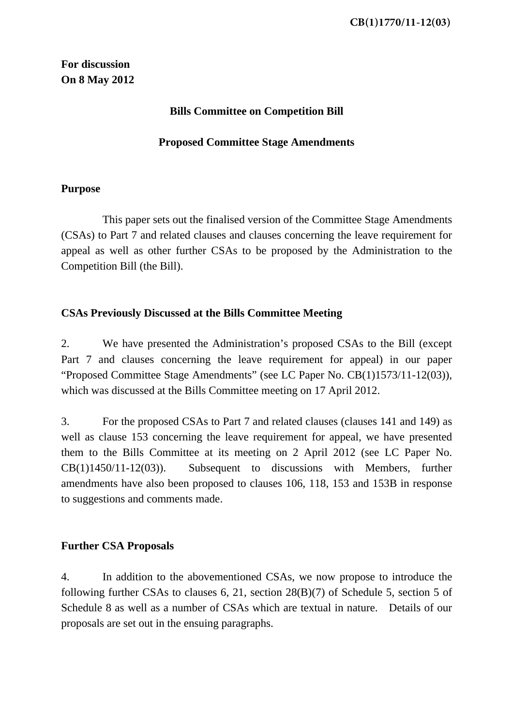**For discussion On 8 May 2012** 

### **Bills Committee on Competition Bill**

#### **Proposed Committee Stage Amendments**

#### **Purpose**

 This paper sets out the finalised version of the Committee Stage Amendments (CSAs) to Part 7 and related clauses and clauses concerning the leave requirement for appeal as well as other further CSAs to be proposed by the Administration to the Competition Bill (the Bill).

#### **CSAs Previously Discussed at the Bills Committee Meeting**

2. We have presented the Administration's proposed CSAs to the Bill (except Part 7 and clauses concerning the leave requirement for appeal) in our paper "Proposed Committee Stage Amendments" (see LC Paper No. CB(1)1573/11-12(03)), which was discussed at the Bills Committee meeting on 17 April 2012.

3. For the proposed CSAs to Part 7 and related clauses (clauses 141 and 149) as well as clause 153 concerning the leave requirement for appeal, we have presented them to the Bills Committee at its meeting on 2 April 2012 (see LC Paper No. CB(1)1450/11-12(03)). Subsequent to discussions with Members, further amendments have also been proposed to clauses 106, 118, 153 and 153B in response to suggestions and comments made.

#### **Further CSA Proposals**

4. In addition to the abovementioned CSAs, we now propose to introduce the following further CSAs to clauses 6, 21, section 28(B)(7) of Schedule 5, section 5 of Schedule 8 as well as a number of CSAs which are textual in nature. Details of our proposals are set out in the ensuing paragraphs.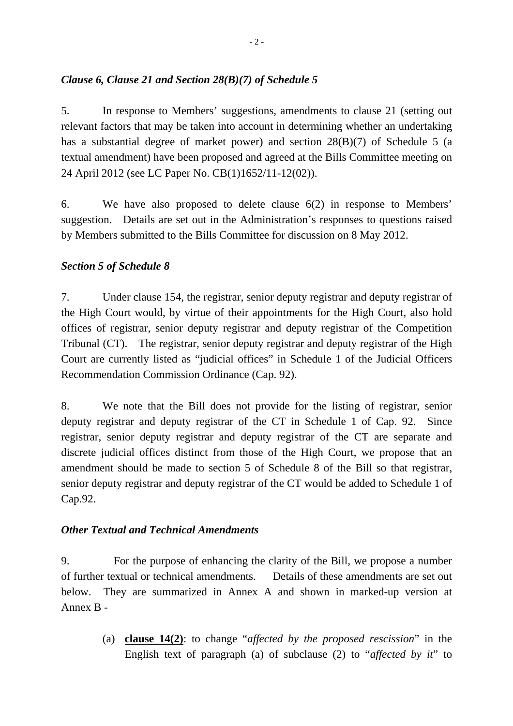### *Clause 6, Clause 21 and Section 28(B)(7) of Schedule 5*

5. In response to Members' suggestions, amendments to clause 21 (setting out relevant factors that may be taken into account in determining whether an undertaking has a substantial degree of market power) and section 28(B)(7) of Schedule 5 (a textual amendment) have been proposed and agreed at the Bills Committee meeting on 24 April 2012 (see LC Paper No. CB(1)1652/11-12(02)).

6. We have also proposed to delete clause 6(2) in response to Members' suggestion. Details are set out in the Administration's responses to questions raised by Members submitted to the Bills Committee for discussion on 8 May 2012.

### *Section 5 of Schedule 8*

7. Under clause 154, the registrar, senior deputy registrar and deputy registrar of the High Court would, by virtue of their appointments for the High Court, also hold offices of registrar, senior deputy registrar and deputy registrar of the Competition Tribunal (CT). The registrar, senior deputy registrar and deputy registrar of the High Court are currently listed as "judicial offices" in Schedule 1 of the Judicial Officers Recommendation Commission Ordinance (Cap. 92).

8. We note that the Bill does not provide for the listing of registrar, senior deputy registrar and deputy registrar of the CT in Schedule 1 of Cap. 92. Since registrar, senior deputy registrar and deputy registrar of the CT are separate and discrete judicial offices distinct from those of the High Court, we propose that an amendment should be made to section 5 of Schedule 8 of the Bill so that registrar, senior deputy registrar and deputy registrar of the CT would be added to Schedule 1 of Cap.92.

### *Other Textual and Technical Amendments*

9. For the purpose of enhancing the clarity of the Bill, we propose a number of further textual or technical amendments. Details of these amendments are set out below. They are summarized in Annex A and shown in marked-up version at Annex B -

> (a) **clause 14(2)**: to change "*affected by the proposed rescission*" in the English text of paragraph (a) of subclause (2) to "*affected by it*" to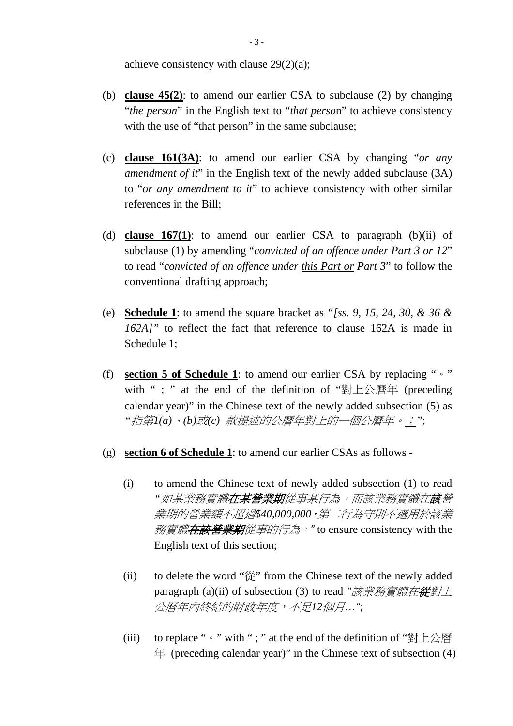achieve consistency with clause 29(2)(a);

- (b) **clause 45(2)**: to amend our earlier CSA to subclause (2) by changing "*the person*" in the English text to "*that perso*n" to achieve consistency with the use of "that person" in the same subclause;
- (c) **clause 161(3A)**: to amend our earlier CSA by changing "*or any amendment of it*" in the English text of the newly added subclause (3A) to "*or any amendment to it*" to achieve consistency with other similar references in the Bill;
- (d) **clause 167(1)**: to amend our earlier CSA to paragraph (b)(ii) of subclause (1) by amending "*convicted of an offence under Part 3 or 12*" to read "*convicted of an offence under this Part or Part 3*" to follow the conventional drafting approach;
- (e) **Schedule 1**: to amend the square bracket as *"[ss. 9, 15, 24, 30, & 36 & 162A]"* to reflect the fact that reference to clause 162A is made in Schedule 1;
- (f) **section 5 of Schedule 1**: to amend our earlier CSA by replacing "。" with " ; " at the end of the definition of "對上公曆年 (preceding calendar year)" in the Chinese text of the newly added subsection (5) as *"*指第*1(a)*、*(b)*或*(c)* 款提述的公曆年對上的一個公曆年。;*"*;
- (g) **section 6 of Schedule 1**: to amend our earlier CSAs as follows
	- (i) to amend the Chinese text of newly added subsection (1) to read "*如某業務實體<del>在某營業期</del>從事某行為,而該業務實體在<del>該</del>營* 業期的營業額不超過*\$40,000,000*,第二行為守則不適用於該業 務實體在該營業期從事的行為。*"* to ensure consistency with the English text of this section;
	- (ii) to delete the word "從" from the Chinese text of the newly added paragraph (a)(ii) of subsection (3) to read *"*該業務實體在從對上 公曆年內終結的財政年度,不足*12*個月*…"*;
	- (iii) to replace " $\circ$ " with "; " at the end of the definition of "對上公曆  $\#$  (preceding calendar year)" in the Chinese text of subsection (4)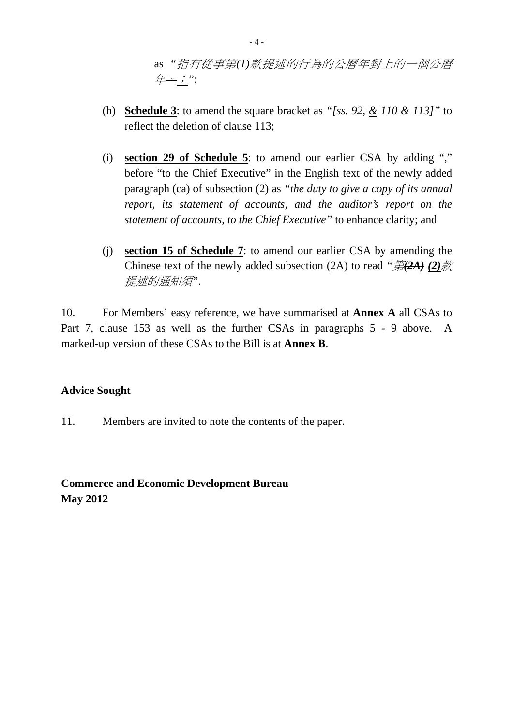as *"*指有從事第*(1)*款提述的行為的公曆年對上的一個公曆 年。;*"*;

- (h) **Schedule 3**: to amend the square bracket as *"[ss. 92, & 110 & 113]"* to reflect the deletion of clause 113;
- (i) **section 29 of Schedule 5**: to amend our earlier CSA by adding "," before "to the Chief Executive" in the English text of the newly added paragraph (ca) of subsection (2) as *"the duty to give a copy of its annual report, its statement of accounts, and the auditor's report on the statement of accounts, to the Chief Executive"* to enhance clarity; and
- (j) **section 15 of Schedule 7**: to amend our earlier CSA by amending the Chinese text of the newly added subsection (2A) to read *"*第*(2A) (2)*款 提述的通知須*"*.

10. For Members' easy reference, we have summarised at **Annex A** all CSAs to Part 7, clause 153 as well as the further CSAs in paragraphs 5 - 9 above. A marked-up version of these CSAs to the Bill is at **Annex B**.

### **Advice Sought**

11. Members are invited to note the contents of the paper.

## **Commerce and Economic Development Bureau May 2012**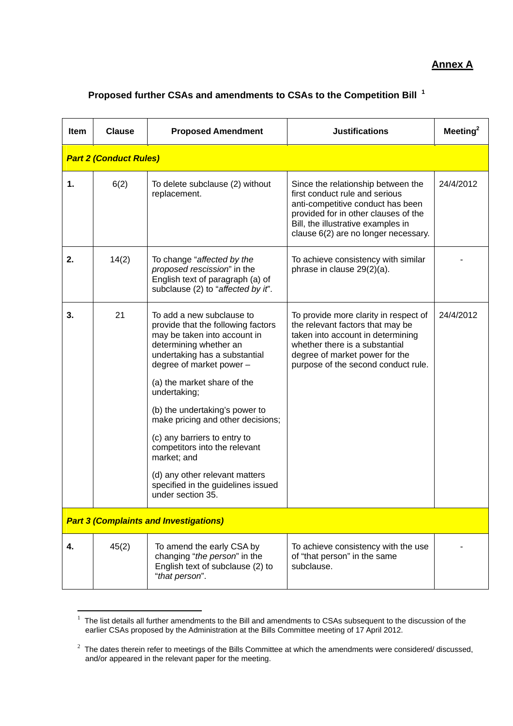## **Annex A**

#### **Proposed further CSAs and amendments to CSAs to the Competition Bill <sup>1</sup>**

| <b>Item</b>                                   | <b>Clause</b>                 | <b>Proposed Amendment</b>                                                                                                                                                                                                                                                                                                                                                                                                                                                                 | <b>Justifications</b>                                                                                                                                                                                                           | Meeting $^2$ |  |
|-----------------------------------------------|-------------------------------|-------------------------------------------------------------------------------------------------------------------------------------------------------------------------------------------------------------------------------------------------------------------------------------------------------------------------------------------------------------------------------------------------------------------------------------------------------------------------------------------|---------------------------------------------------------------------------------------------------------------------------------------------------------------------------------------------------------------------------------|--------------|--|
|                                               | <b>Part 2 (Conduct Rules)</b> |                                                                                                                                                                                                                                                                                                                                                                                                                                                                                           |                                                                                                                                                                                                                                 |              |  |
| 1.                                            | 6(2)                          | To delete subclause (2) without<br>replacement.                                                                                                                                                                                                                                                                                                                                                                                                                                           | Since the relationship between the<br>first conduct rule and serious<br>anti-competitive conduct has been<br>provided for in other clauses of the<br>Bill, the illustrative examples in<br>clause 6(2) are no longer necessary. | 24/4/2012    |  |
| 2.                                            | 14(2)                         | To change "affected by the<br>proposed rescission" in the<br>English text of paragraph (a) of<br>subclause (2) to "affected by it".                                                                                                                                                                                                                                                                                                                                                       | To achieve consistency with similar<br>phrase in clause 29(2)(a).                                                                                                                                                               |              |  |
| 3.                                            | 21                            | To add a new subclause to<br>provide that the following factors<br>may be taken into account in<br>determining whether an<br>undertaking has a substantial<br>degree of market power -<br>(a) the market share of the<br>undertaking;<br>(b) the undertaking's power to<br>make pricing and other decisions;<br>(c) any barriers to entry to<br>competitors into the relevant<br>market; and<br>(d) any other relevant matters<br>specified in the guidelines issued<br>under section 35. | To provide more clarity in respect of<br>the relevant factors that may be<br>taken into account in determining<br>whether there is a substantial<br>degree of market power for the<br>purpose of the second conduct rule.       | 24/4/2012    |  |
| <b>Part 3 (Complaints and Investigations)</b> |                               |                                                                                                                                                                                                                                                                                                                                                                                                                                                                                           |                                                                                                                                                                                                                                 |              |  |
| 4.                                            | 45(2)                         | To amend the early CSA by<br>changing "the person" in the<br>English text of subclause (2) to<br>"that person".                                                                                                                                                                                                                                                                                                                                                                           | To achieve consistency with the use<br>of "that person" in the same<br>subclause.                                                                                                                                               |              |  |

 $1$  The list details all further amendments to the Bill and amendments to CSAs subsequent to the discussion of the earlier CSAs proposed by the Administration at the Bills Committee meeting of 17 April 2012.

 $\overline{a}$ 

 $2$  The dates therein refer to meetings of the Bills Committee at which the amendments were considered/discussed, and/or appeared in the relevant paper for the meeting.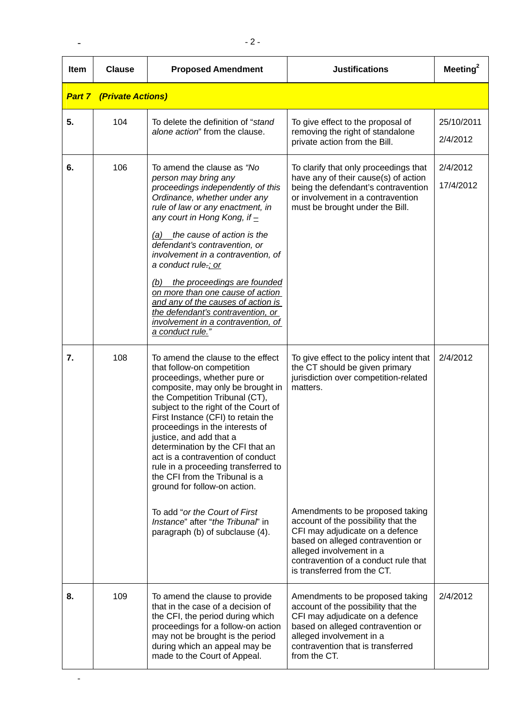| <b>Item</b> | <b>Clause</b>                   | <b>Proposed Amendment</b>                                                                                                                                                                                                                                                                                                                                                                                                                                                                                                                                                                                     | <b>Justifications</b>                                                                                                                                                                                                                                                                                                                                                                 | Meeting $2$            |
|-------------|---------------------------------|---------------------------------------------------------------------------------------------------------------------------------------------------------------------------------------------------------------------------------------------------------------------------------------------------------------------------------------------------------------------------------------------------------------------------------------------------------------------------------------------------------------------------------------------------------------------------------------------------------------|---------------------------------------------------------------------------------------------------------------------------------------------------------------------------------------------------------------------------------------------------------------------------------------------------------------------------------------------------------------------------------------|------------------------|
|             | <b>Part 7 (Private Actions)</b> |                                                                                                                                                                                                                                                                                                                                                                                                                                                                                                                                                                                                               |                                                                                                                                                                                                                                                                                                                                                                                       |                        |
| 5.          | 104                             | To delete the definition of "stand"<br>alone action" from the clause.                                                                                                                                                                                                                                                                                                                                                                                                                                                                                                                                         | To give effect to the proposal of<br>removing the right of standalone<br>private action from the Bill.                                                                                                                                                                                                                                                                                | 25/10/2011<br>2/4/2012 |
| 6.          | 106                             | To amend the clause as "No<br>person may bring any<br>proceedings independently of this<br>Ordinance, whether under any<br>rule of law or any enactment, in<br>any court in Hong Kong, if $\pm$<br>(a) the cause of action is the<br>defendant's contravention, or<br>involvement in a contravention, of<br>a conduct rule.; or<br>the proceedings are founded<br>(b)<br>on more than one cause of action<br>and any of the causes of action is<br>the defendant's contravention, or<br>involvement in a contravention, of<br>a conduct rule."                                                                | To clarify that only proceedings that<br>have any of their cause(s) of action<br>being the defendant's contravention<br>or involvement in a contravention<br>must be brought under the Bill.                                                                                                                                                                                          | 2/4/2012<br>17/4/2012  |
| 7.          | 108                             | To amend the clause to the effect<br>that follow-on competition<br>proceedings, whether pure or<br>composite, may only be brought in<br>the Competition Tribunal (CT),<br>subject to the right of the Court of<br>First Instance (CFI) to retain the<br>proceedings in the interests of<br>justice, and add that a<br>determination by the CFI that an<br>act is a contravention of conduct<br>rule in a proceeding transferred to<br>the CFI from the Tribunal is a<br>ground for follow-on action.<br>To add "or the Court of First<br>Instance" after "the Tribunal" in<br>paragraph (b) of subclause (4). | To give effect to the policy intent that<br>the CT should be given primary<br>jurisdiction over competition-related<br>matters.<br>Amendments to be proposed taking<br>account of the possibility that the<br>CFI may adjudicate on a defence<br>based on alleged contravention or<br>alleged involvement in a<br>contravention of a conduct rule that<br>is transferred from the CT. | 2/4/2012               |
| 8.          | 109                             | To amend the clause to provide<br>that in the case of a decision of<br>the CFI, the period during which<br>proceedings for a follow-on action<br>may not be brought is the period<br>during which an appeal may be<br>made to the Court of Appeal.                                                                                                                                                                                                                                                                                                                                                            | Amendments to be proposed taking<br>account of the possibility that the<br>CFI may adjudicate on a defence<br>based on alleged contravention or<br>alleged involvement in a<br>contravention that is transferred<br>from the CT.                                                                                                                                                      | 2/4/2012               |

 $\sim$  -  $\sim$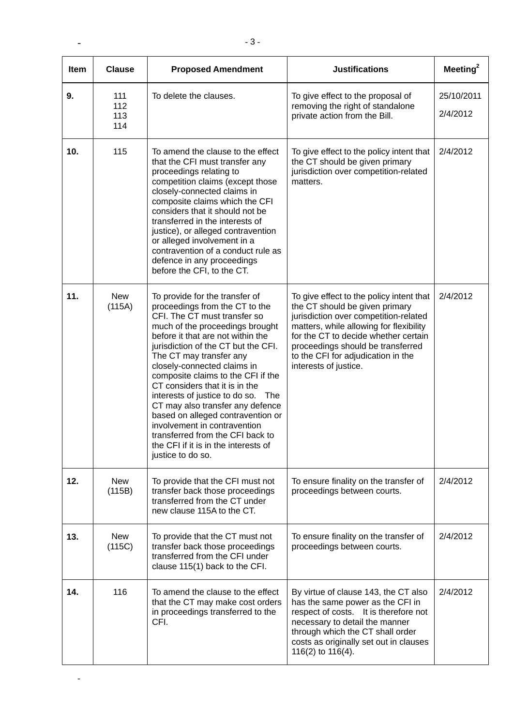| <b>Item</b> | <b>Clause</b>            | <b>Proposed Amendment</b>                                                                                                                                                                                                                                                                                                                                                                                                                                                                                                                                                                            | <b>Justifications</b>                                                                                                                                                                                                                                                                                      | Meeting $^2$           |
|-------------|--------------------------|------------------------------------------------------------------------------------------------------------------------------------------------------------------------------------------------------------------------------------------------------------------------------------------------------------------------------------------------------------------------------------------------------------------------------------------------------------------------------------------------------------------------------------------------------------------------------------------------------|------------------------------------------------------------------------------------------------------------------------------------------------------------------------------------------------------------------------------------------------------------------------------------------------------------|------------------------|
| 9.          | 111<br>112<br>113<br>114 | To delete the clauses.                                                                                                                                                                                                                                                                                                                                                                                                                                                                                                                                                                               | To give effect to the proposal of<br>removing the right of standalone<br>private action from the Bill.                                                                                                                                                                                                     | 25/10/2011<br>2/4/2012 |
| 10.         | 115                      | To amend the clause to the effect<br>that the CFI must transfer any<br>proceedings relating to<br>competition claims (except those<br>closely-connected claims in<br>composite claims which the CFI<br>considers that it should not be<br>transferred in the interests of<br>justice), or alleged contravention<br>or alleged involvement in a<br>contravention of a conduct rule as<br>defence in any proceedings<br>before the CFI, to the CT.                                                                                                                                                     | To give effect to the policy intent that<br>the CT should be given primary<br>jurisdiction over competition-related<br>matters.                                                                                                                                                                            | 2/4/2012               |
| 11.         | <b>New</b><br>(115A)     | To provide for the transfer of<br>proceedings from the CT to the<br>CFI. The CT must transfer so<br>much of the proceedings brought<br>before it that are not within the<br>jurisdiction of the CT but the CFI.<br>The CT may transfer any<br>closely-connected claims in<br>composite claims to the CFI if the<br>CT considers that it is in the<br>interests of justice to do so.<br>The<br>CT may also transfer any defence<br>based on alleged contravention or<br>involvement in contravention<br>transferred from the CFI back to<br>the CFI if it is in the interests of<br>justice to do so. | To give effect to the policy intent that<br>the CT should be given primary<br>jurisdiction over competition-related<br>matters, while allowing for flexibility<br>for the CT to decide whether certain<br>proceedings should be transferred<br>to the CFI for adjudication in the<br>interests of justice. | 2/4/2012               |
| 12.         | <b>New</b><br>(115B)     | To provide that the CFI must not<br>transfer back those proceedings<br>transferred from the CT under<br>new clause 115A to the CT.                                                                                                                                                                                                                                                                                                                                                                                                                                                                   | To ensure finality on the transfer of<br>proceedings between courts.                                                                                                                                                                                                                                       | 2/4/2012               |
| 13.         | <b>New</b><br>(115C)     | To provide that the CT must not<br>transfer back those proceedings<br>transferred from the CFI under<br>clause 115(1) back to the CFI.                                                                                                                                                                                                                                                                                                                                                                                                                                                               | To ensure finality on the transfer of<br>proceedings between courts.                                                                                                                                                                                                                                       | 2/4/2012               |
| 14.         | 116                      | To amend the clause to the effect<br>that the CT may make cost orders<br>in proceedings transferred to the<br>CFI.                                                                                                                                                                                                                                                                                                                                                                                                                                                                                   | By virtue of clause 143, the CT also<br>has the same power as the CFI in<br>respect of costs. It is therefore not<br>necessary to detail the manner<br>through which the CT shall order<br>costs as originally set out in clauses<br>116(2) to 116(4).                                                     | 2/4/2012               |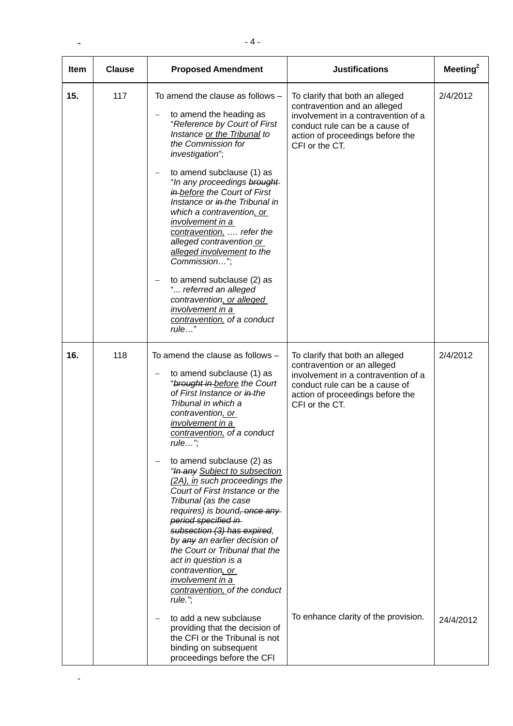| <b>Item</b> | <b>Clause</b> | <b>Proposed Amendment</b>                                                                                                                                                                                                                                                                                                                                                                                                                                                                                                                                                                                                                                                                                                                                                                                                         | <b>Justifications</b>                                                                                                                                                                                                                 | Meeting <sup>2</sup>  |
|-------------|---------------|-----------------------------------------------------------------------------------------------------------------------------------------------------------------------------------------------------------------------------------------------------------------------------------------------------------------------------------------------------------------------------------------------------------------------------------------------------------------------------------------------------------------------------------------------------------------------------------------------------------------------------------------------------------------------------------------------------------------------------------------------------------------------------------------------------------------------------------|---------------------------------------------------------------------------------------------------------------------------------------------------------------------------------------------------------------------------------------|-----------------------|
| 15.         | 117           | To amend the clause as follows $-$<br>to amend the heading as<br>"Reference by Court of First<br>Instance or the Tribunal to<br>the Commission for<br>investigation";<br>to amend subclause (1) as<br>"In any proceedings brought<br>in-before the Court of First<br>Instance or in the Tribunal in<br>which a contravention, or<br>involvement in a<br>contravention,  refer the<br>alleged contravention or<br>alleged involvement to the<br>Commission";<br>to amend subclause (2) as<br>" referred an alleged<br>contravention, or alleged<br>involvement in a<br>contravention, of a conduct<br>rule"                                                                                                                                                                                                                        | To clarify that both an alleged<br>contravention and an alleged<br>involvement in a contravention of a<br>conduct rule can be a cause of<br>action of proceedings before the<br>CFI or the CT.                                        | 2/4/2012              |
| 16.         | 118           | To amend the clause as follows -<br>to amend subclause (1) as<br>"brought in before the Court<br>of First Instance or in-the<br>Tribunal in which a<br>contravention, or<br><u>involvement in a</u><br>contravention, of a conduct<br>$rule$ ;<br>to amend subclause (2) as<br>"In any Subject to subsection<br>(2A), in such proceedings the<br>Court of First Instance or the<br>Tribunal (as the case<br>requires) is bound, once any<br>period specified in<br>subsection (3) has expired,<br>by any an earlier decision of<br>the Court or Tribunal that the<br>act in question is a<br>contravention, or<br>involvement in a<br>contravention, of the conduct<br>rule.",<br>to add a new subclause<br>$\overline{\phantom{m}}$<br>providing that the decision of<br>the CFI or the Tribunal is not<br>binding on subsequent | To clarify that both an alleged<br>contravention or an alleged<br>involvement in a contravention of a<br>conduct rule can be a cause of<br>action of proceedings before the<br>CFI or the CT.<br>To enhance clarity of the provision. | 2/4/2012<br>24/4/2012 |

 $\sim$  -  $\sim$   $\sim$   $\sim$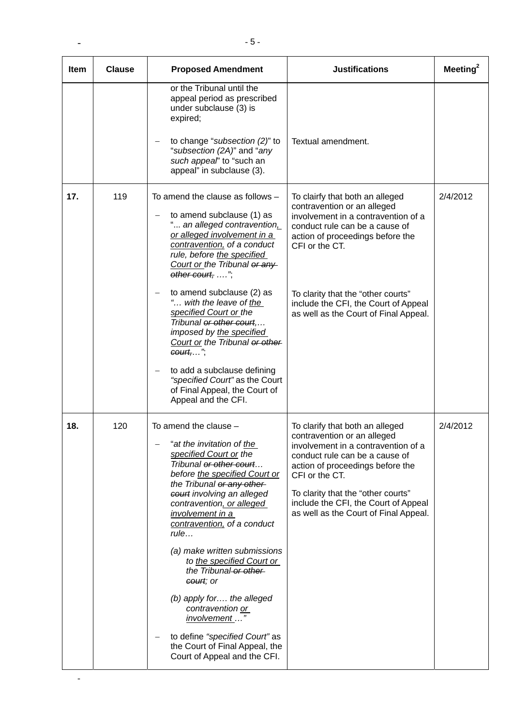| <b>Item</b> | <b>Clause</b> | <b>Proposed Amendment</b>                                                                                                                                                                                                                                                                                                                                                                                                                                                                                                                                                | <b>Justifications</b>                                                                                                                                                                                                                                                                                                | Meeting $^2$ |
|-------------|---------------|--------------------------------------------------------------------------------------------------------------------------------------------------------------------------------------------------------------------------------------------------------------------------------------------------------------------------------------------------------------------------------------------------------------------------------------------------------------------------------------------------------------------------------------------------------------------------|----------------------------------------------------------------------------------------------------------------------------------------------------------------------------------------------------------------------------------------------------------------------------------------------------------------------|--------------|
|             |               | or the Tribunal until the<br>appeal period as prescribed<br>under subclause (3) is<br>expired;<br>to change "subsection (2)" to<br>"subsection (2A)" and "any<br>such appeal' to "such an<br>appeal" in subclause (3).                                                                                                                                                                                                                                                                                                                                                   | Textual amendment.                                                                                                                                                                                                                                                                                                   |              |
| 17.         | 119           | To amend the clause as follows $-$<br>to amend subclause (1) as<br>" an alleged contravention.<br>or alleged involvement in a<br>contravention, of a conduct<br>rule, before the specified<br>Court or the Tribunal or any<br>other court, ",<br>to amend subclause (2) as<br>" with the leave of the<br>specified Court or the<br>Tribunal or other court,<br>imposed by the specified<br>Court or the Tribunal or other<br>$count, \ldots$ ",<br>to add a subclause defining<br>"specified Court" as the Court<br>of Final Appeal, the Court of<br>Appeal and the CFI. | To clairfy that both an alleged<br>contravention or an alleged<br>involvement in a contravention of a<br>conduct rule can be a cause of<br>action of proceedings before the<br>CFI or the CT.<br>To clarity that the "other courts"<br>include the CFI, the Court of Appeal<br>as well as the Court of Final Appeal. | 2/4/2012     |
| 18.         | 120           | To amend the clause $-$<br>"at the invitation of the<br>specified Court or the<br>Tribunal or other court<br>before the specified Court or<br>the Tribunal or any other<br>court involving an alleged<br>contravention, or alleged<br>involvement in a<br>contravention, of a conduct<br>rule<br>(a) make written submissions<br>to the specified Court or<br>the Tribunal-or other-<br>court; or<br>(b) apply for the alleged<br>contravention or<br>involvement "<br>to define "specified Court" as<br>the Court of Final Appeal, the<br>Court of Appeal and the CFI.  | To clarify that both an alleged<br>contravention or an alleged<br>involvement in a contravention of a<br>conduct rule can be a cause of<br>action of proceedings before the<br>CFI or the CT.<br>To clarity that the "other courts"<br>include the CFI, the Court of Appeal<br>as well as the Court of Final Appeal. | 2/4/2012     |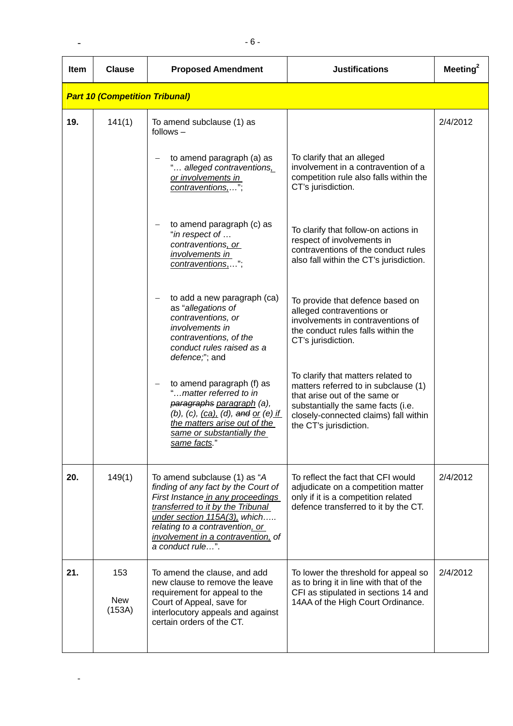| <b>Item</b> | <b>Clause</b>                         | <b>Proposed Amendment</b>                                                                                                                                                                                                                                                  | <b>Justifications</b>                                                                                                                                                                                                | Meeting $^2$ |
|-------------|---------------------------------------|----------------------------------------------------------------------------------------------------------------------------------------------------------------------------------------------------------------------------------------------------------------------------|----------------------------------------------------------------------------------------------------------------------------------------------------------------------------------------------------------------------|--------------|
|             | <b>Part 10 (Competition Tribunal)</b> |                                                                                                                                                                                                                                                                            |                                                                                                                                                                                                                      |              |
| 19.         | 141(1)                                | To amend subclause (1) as<br>$follows -$                                                                                                                                                                                                                                   |                                                                                                                                                                                                                      | 2/4/2012     |
|             |                                       | to amend paragraph (a) as<br>" alleged contraventions,<br>or involvements in<br>contraventions,";                                                                                                                                                                          | To clarify that an alleged<br>involvement in a contravention of a<br>competition rule also falls within the<br>CT's jurisdiction.                                                                                    |              |
|             |                                       | to amend paragraph (c) as<br>"in respect of<br>contraventions, or<br>involvements in<br>contraventions,.                                                                                                                                                                   | To clarify that follow-on actions in<br>respect of involvements in<br>contraventions of the conduct rules<br>also fall within the CT's jurisdiction.                                                                 |              |
|             |                                       | to add a new paragraph (ca)<br>as "allegations of<br>contraventions, or<br><i>involvements in</i><br>contraventions, of the<br>conduct rules raised as a<br>defence,"; and                                                                                                 | To provide that defence based on<br>alleged contraventions or<br>involvements in contraventions of<br>the conduct rules falls within the<br>CT's jurisdiction.                                                       |              |
|             |                                       | to amend paragraph (f) as<br>"matter referred to in<br>paragraphs paragraph (a),<br>$(b)$ , $(c)$ , $(ca)$ , $(d)$ , and or $(e)$ if<br>the matters arise out of the<br>same or substantially the<br>same facts."                                                          | To clarify that matters related to<br>matters referred to in subclause (1)<br>that arise out of the same or<br>substantially the same facts (i.e.<br>closely-connected claims) fall within<br>the CT's jurisdiction. |              |
| 20.         | 149(1)                                | To amend subclause (1) as "A<br>finding of any fact by the Court of<br>First Instance in any proceedings<br>transferred to it by the Tribunal<br>under section 115A(3), which<br>relating to a contravention, or<br>involvement in a contravention, of<br>a conduct rule". | To reflect the fact that CFI would<br>adjudicate on a competition matter<br>only if it is a competition related<br>defence transferred to it by the CT.                                                              | 2/4/2012     |
| 21.         | 153<br><b>New</b><br>(153A)           | To amend the clause, and add<br>new clause to remove the leave<br>requirement for appeal to the<br>Court of Appeal, save for<br>interlocutory appeals and against<br>certain orders of the CT.                                                                             | To lower the threshold for appeal so<br>as to bring it in line with that of the<br>CFI as stipulated in sections 14 and<br>14AA of the High Court Ordinance.                                                         | 2/4/2012     |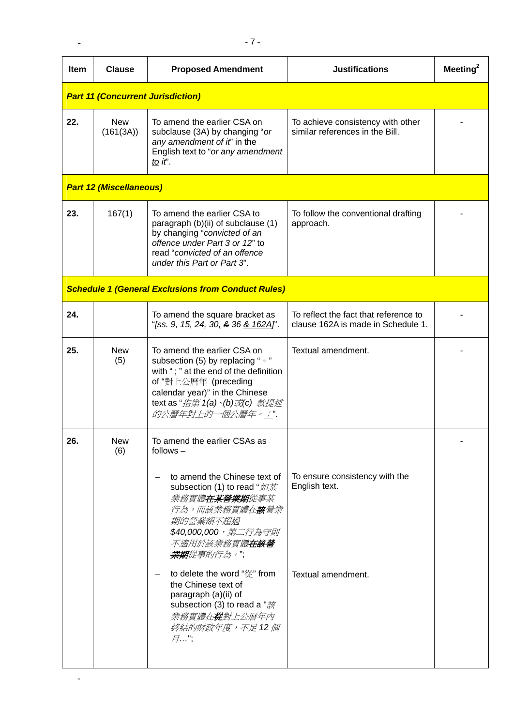| <b>Item</b> | <b>Clause</b>                            | <b>Proposed Amendment</b>                                                                                                                                                                                                                                                                                                                                                                                                                                                          | <b>Justifications</b>                                                       | Meeting $^2$ |  |
|-------------|------------------------------------------|------------------------------------------------------------------------------------------------------------------------------------------------------------------------------------------------------------------------------------------------------------------------------------------------------------------------------------------------------------------------------------------------------------------------------------------------------------------------------------|-----------------------------------------------------------------------------|--------------|--|
|             | <b>Part 11 (Concurrent Jurisdiction)</b> |                                                                                                                                                                                                                                                                                                                                                                                                                                                                                    |                                                                             |              |  |
| 22.         | <b>New</b><br>(161(3A))                  | To amend the earlier CSA on<br>subclause (3A) by changing "or<br>any amendment of it" in the<br>English text to "or any amendment<br>to it'.                                                                                                                                                                                                                                                                                                                                       | To achieve consistency with other<br>similar references in the Bill.        |              |  |
|             | <b>Part 12 (Miscellaneous)</b>           |                                                                                                                                                                                                                                                                                                                                                                                                                                                                                    |                                                                             |              |  |
| 23.         | 167(1)                                   | To amend the earlier CSA to<br>paragraph (b)(ii) of subclause (1)<br>by changing "convicted of an<br>offence under Part 3 or 12" to<br>read "convicted of an offence<br>under this Part or Part 3".                                                                                                                                                                                                                                                                                | To follow the conventional drafting<br>approach.                            |              |  |
|             |                                          | <b>Schedule 1 (General Exclusions from Conduct Rules)</b>                                                                                                                                                                                                                                                                                                                                                                                                                          |                                                                             |              |  |
| 24.         |                                          | To amend the square bracket as<br>"[ss. 9, 15, 24, 30, & 36 <u>&amp; 162A]</u> ".                                                                                                                                                                                                                                                                                                                                                                                                  | To reflect the fact that reference to<br>clause 162A is made in Schedule 1. |              |  |
| 25.         | <b>New</b><br>(5)                        | To amend the earlier CSA on<br>subsection (5) by replacing " . "<br>with "; " at the end of the definition<br>of "對上公曆年 (preceding<br>calendar year)" in the Chinese<br>text as " <i>指第 1(a)</i> · <i>(b)或(c) 款提述</i><br>的公曆年對上的一個公曆年一;"                                                                                                                                                                                                                                           | Textual amendment.                                                          |              |  |
| 26.         | New<br>(6)                               | To amend the earlier CSAs as<br>follows $-$<br>to amend the Chinese text of<br>subsection (1) to read "如某<br><i>業務實體<b>在某營業期</b>從事某</i><br><i>行為,而該業務實體在<b>該</b>營業</i><br>期的營業額不超過<br>\$40,000,000,第二行為守則<br><i>不適用於該業務實體<b>在該營</b></i><br>業期從事的行為。";<br>to delete the word "從" from<br>$\overline{\phantom{m}}$<br>the Chinese text of<br>paragraph (a)(ii) of<br>subsection (3) to read a " $\ddot{\tilde{\mathcal{B}}}$<br><i>業務實體在<b>從</b>對上公曆年內</i><br>終結的財政年度,不足 12個<br>月…"; | To ensure consistency with the<br>English text.<br>Textual amendment.       |              |  |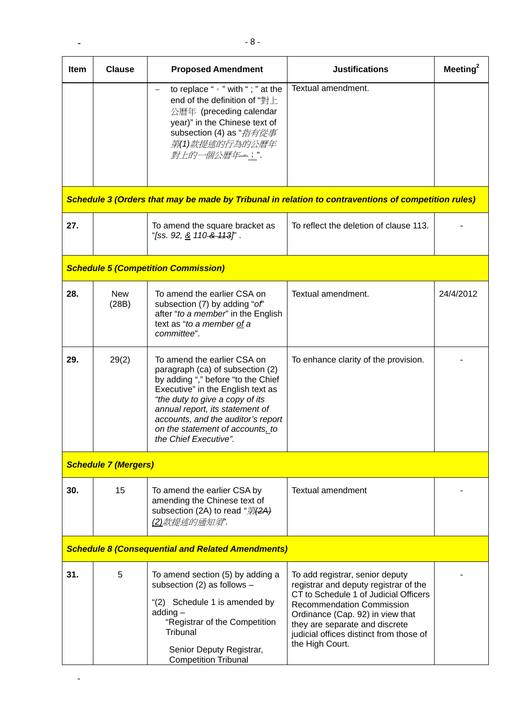| Item | <b>Clause</b>                                            | <b>Proposed Amendment</b>                                                                                                                                                                                                                                                                                           | <b>Justifications</b>                                                                                                                                                                                                                                                                     | Meeting $^2$ |
|------|----------------------------------------------------------|---------------------------------------------------------------------------------------------------------------------------------------------------------------------------------------------------------------------------------------------------------------------------------------------------------------------|-------------------------------------------------------------------------------------------------------------------------------------------------------------------------------------------------------------------------------------------------------------------------------------------|--------------|
|      |                                                          | to replace " $\circ$ " with "; " at the<br>$\qquad \qquad -$<br>end of the definition of "對上<br>公曆年 (preceding calendar<br>year)" in the Chinese text of<br>subsection (4) as " <i>指有從事</i><br>第(1)款提述的行為的公曆年<br>對上的一個公曆年一;".                                                                                       | Textual amendment.                                                                                                                                                                                                                                                                        |              |
|      |                                                          |                                                                                                                                                                                                                                                                                                                     | Schedule 3 (Orders that may be made by Tribunal in relation to contraventions of competition rules)                                                                                                                                                                                       |              |
| 27.  |                                                          | To amend the square bracket as<br>"[ss. 92, <u>&amp;</u> 110 <del>&amp; 113</del> ]".                                                                                                                                                                                                                               | To reflect the deletion of clause 113.                                                                                                                                                                                                                                                    |              |
|      |                                                          | <b>Schedule 5 (Competition Commission)</b>                                                                                                                                                                                                                                                                          |                                                                                                                                                                                                                                                                                           |              |
| 28.  | <b>New</b><br>(28B)                                      | To amend the earlier CSA on<br>subsection (7) by adding "of"<br>after "to a member" in the English<br>text as "to a member of a<br>committee".                                                                                                                                                                      | Textual amendment.                                                                                                                                                                                                                                                                        | 24/4/2012    |
| 29.  | 29(2)                                                    | To amend the earlier CSA on<br>paragraph (ca) of subsection (2)<br>by adding "," before "to the Chief<br>Executive" in the English text as<br>"the duty to give a copy of its<br>annual report, its statement of<br>accounts, and the auditor's report<br>on the statement of accounts, to<br>the Chief Executive". | To enhance clarity of the provision.                                                                                                                                                                                                                                                      |              |
|      | <b>Schedule 7 (Mergers)</b>                              |                                                                                                                                                                                                                                                                                                                     |                                                                                                                                                                                                                                                                                           |              |
| 30.  | 15                                                       | To amend the earlier CSA by<br>amending the Chinese text of<br>subsection (2A) to read "第 <del>(2A)</del><br>(2)款提述的通知須"                                                                                                                                                                                            | <b>Textual amendment</b>                                                                                                                                                                                                                                                                  |              |
|      | <b>Schedule 8 (Consequential and Related Amendments)</b> |                                                                                                                                                                                                                                                                                                                     |                                                                                                                                                                                                                                                                                           |              |
| 31.  | 5                                                        | To amend section (5) by adding a<br>subsection (2) as follows -<br>"(2) Schedule 1 is amended by<br>$adding -$<br>"Registrar of the Competition<br>Tribunal<br>Senior Deputy Registrar,<br><b>Competition Tribunal</b>                                                                                              | To add registrar, senior deputy<br>registrar and deputy registrar of the<br>CT to Schedule 1 of Judicial Officers<br><b>Recommendation Commission</b><br>Ordinance (Cap. 92) in view that<br>they are separate and discrete<br>judicial offices distinct from those of<br>the High Court. |              |

 $\sim$  -  $\sim$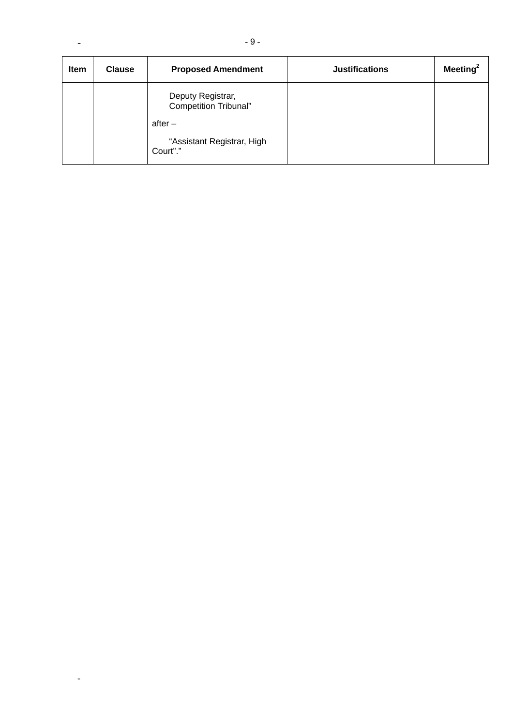| <b>Item</b> | <b>Clause</b> | <b>Proposed Amendment</b>                                                             | <b>Justifications</b> | Meeting $2$ |
|-------------|---------------|---------------------------------------------------------------------------------------|-----------------------|-------------|
|             |               | Deputy Registrar,<br>Competition Tribunal"<br>$after -$<br>"Assistant Registrar, High |                       |             |
|             |               | Court"."                                                                              |                       |             |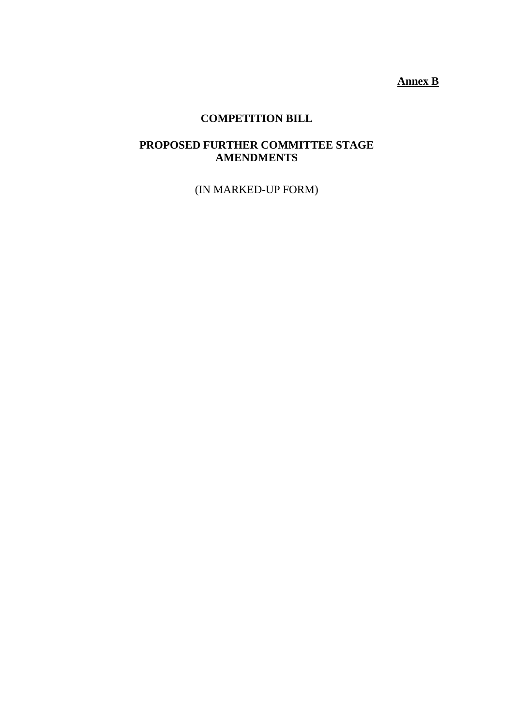**Annex B**

## **COMPETITION BILL**

### **PROPOSED FURTHER COMMITTEE STAGE AMENDMENTS**

(IN MARKED-UP FORM)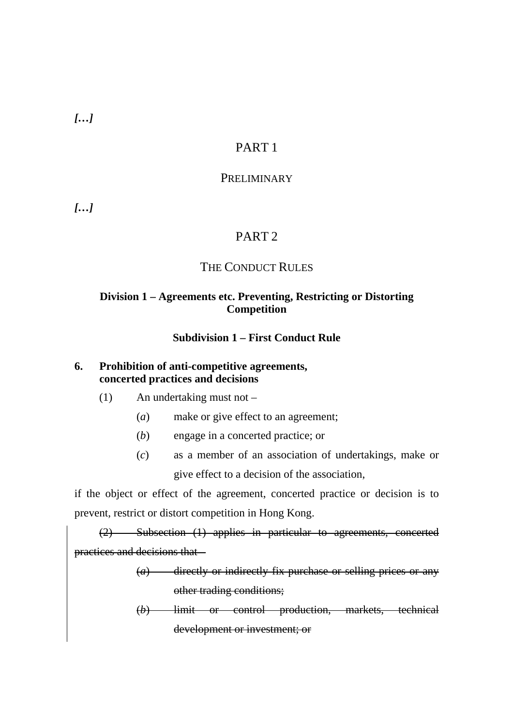*[…]* 

## PART 1

### PRELIMINARY

*[…]* 

## PART 2

### THE CONDUCT RULES

### **Division 1 – Agreements etc. Preventing, Restricting or Distorting Competition**

### **Subdivision 1 – First Conduct Rule**

### **6. Prohibition of anti-competitive agreements, concerted practices and decisions**

- (1) An undertaking must not
	- (*a*) make or give effect to an agreement;
	- (*b*) engage in a concerted practice; or
	- (*c*) as a member of an association of undertakings, make or give effect to a decision of the association,

if the object or effect of the agreement, concerted practice or decision is to prevent, restrict or distort competition in Hong Kong.

(2) Subsection (1) applies in particular to agreements, concerted practices and decisions that –

> (*a*) directly or indirectly fix purchase or selling prices or any other trading conditions;

> (*b*) limit or control production, markets, technical development or investment; or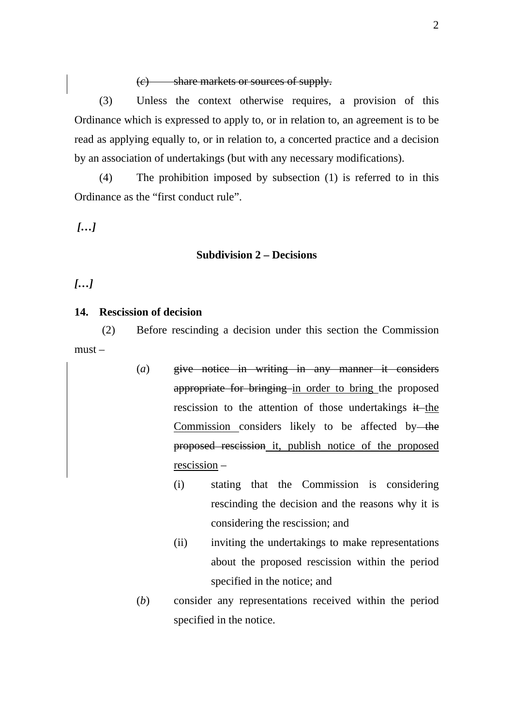(*c*) share markets or sources of supply.

(3) Unless the context otherwise requires, a provision of this Ordinance which is expressed to apply to, or in relation to, an agreement is to be read as applying equally to, or in relation to, a concerted practice and a decision by an association of undertakings (but with any necessary modifications).

(4) The prohibition imposed by subsection (1) is referred to in this Ordinance as the "first conduct rule".

 *[…]* 

#### **Subdivision 2 – Decisions**

*[…]* 

### **14. Rescission of decision**

 (2) Before rescinding a decision under this section the Commission must –

- (*a*) give notice in writing in any manner it considers appropriate for bringing in order to bring the proposed rescission to the attention of those undertakings  $\ddot{\textbf{i}}$  the Commission considers likely to be affected by-the proposed rescission it, publish notice of the proposed rescission –
	- (i) stating that the Commission is considering rescinding the decision and the reasons why it is considering the rescission; and
	- (ii) inviting the undertakings to make representations about the proposed rescission within the period specified in the notice; and
	- (*b*) consider any representations received within the period specified in the notice.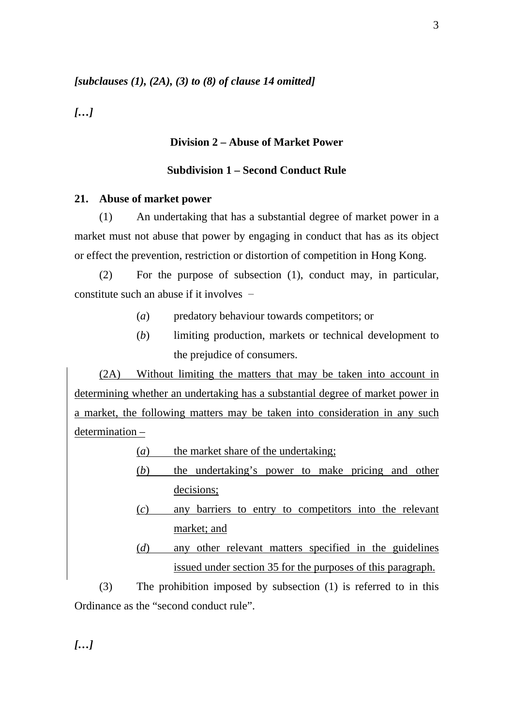#### *[subclauses (1), (2A), (3) to (8) of clause 14 omitted]*

*[…]* 

#### **Division 2 – Abuse of Market Power**

#### **Subdivision 1 – Second Conduct Rule**

#### **21. Abuse of market power**

(1) An undertaking that has a substantial degree of market power in a market must not abuse that power by engaging in conduct that has as its object or effect the prevention, restriction or distortion of competition in Hong Kong.

(2) For the purpose of subsection (1), conduct may, in particular, constitute such an abuse if it involves –

- (*a*) predatory behaviour towards competitors; or
- (*b*) limiting production, markets or technical development to the prejudice of consumers.

(2A) Without limiting the matters that may be taken into account in determining whether an undertaking has a substantial degree of market power in a market, the following matters may be taken into consideration in any such determination –

(*a*) the market share of the undertaking;

- (*b*) the undertaking's power to make pricing and other decisions;
- (*c*) any barriers to entry to competitors into the relevant market; and
- (*d*) any other relevant matters specified in the guidelines issued under section 35 for the purposes of this paragraph.

(3) The prohibition imposed by subsection (1) is referred to in this Ordinance as the "second conduct rule".

*[…]*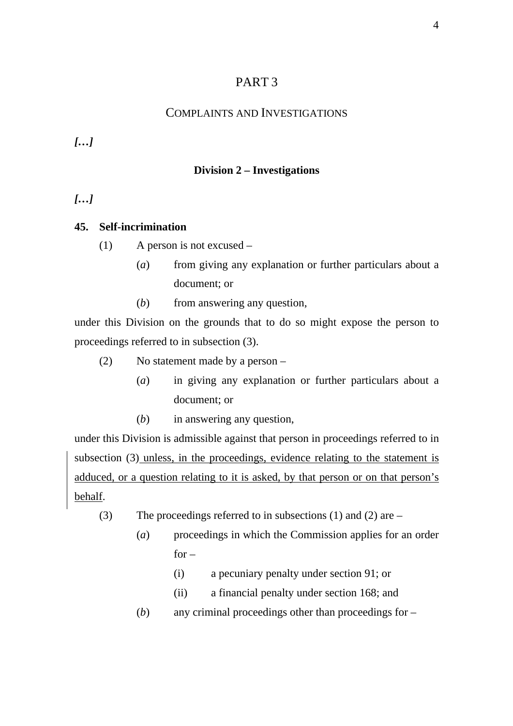## PART 3

## COMPLAINTS AND INVESTIGATIONS

*[…]* 

## **Division 2 – Investigations**

*[…]* 

### **45. Self-incrimination**

- (1) A person is not excused
	- (*a*) from giving any explanation or further particulars about a document; or
	- (*b*) from answering any question,

under this Division on the grounds that to do so might expose the person to proceedings referred to in subsection (3).

- (2) No statement made by a person
	- (*a*) in giving any explanation or further particulars about a document; or
	- (*b*) in answering any question,

under this Division is admissible against that person in proceedings referred to in subsection (3) unless, in the proceedings, evidence relating to the statement is adduced, or a question relating to it is asked, by that person or on that person's behalf.

- (3) The proceedings referred to in subsections (1) and (2) are
	- (*a*) proceedings in which the Commission applies for an order  $for -$ 
		- (i) a pecuniary penalty under section 91; or
		- (ii) a financial penalty under section 168; and
	- (*b*) any criminal proceedings other than proceedings for –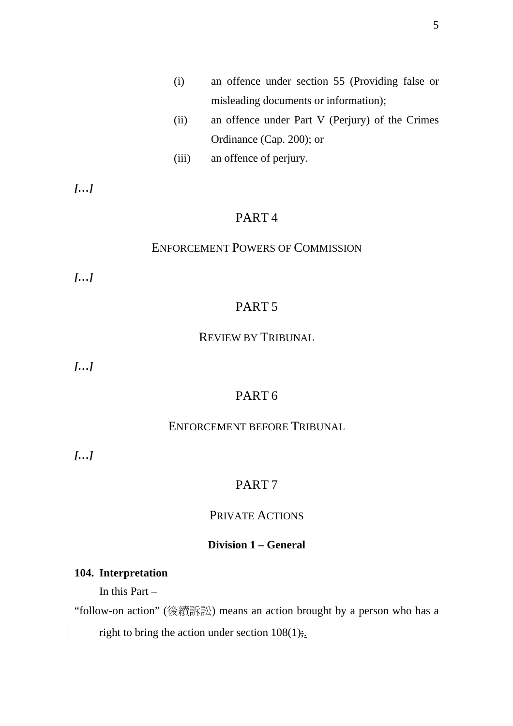- (i) an offence under section 55 (Providing false or misleading documents or information);
- (ii) an offence under Part V (Perjury) of the Crimes Ordinance (Cap. 200); or
- (iii) an offence of perjury.

*[…]* 

## PART 4

#### ENFORCEMENT POWERS OF COMMISSION

*[…]* 

## PART 5

### REVIEW BY TRIBUNAL

*[…]* 

## PART 6

### ENFORCEMENT BEFORE TRIBUNAL

*[…]* 

### PART 7

### PRIVATE ACTIONS

## **Division 1 – General**

### **104. Interpretation**

In this Part –

"follow-on action" (後續訴訟) means an action brought by a person who has a

right to bring the action under section  $108(1)$ ;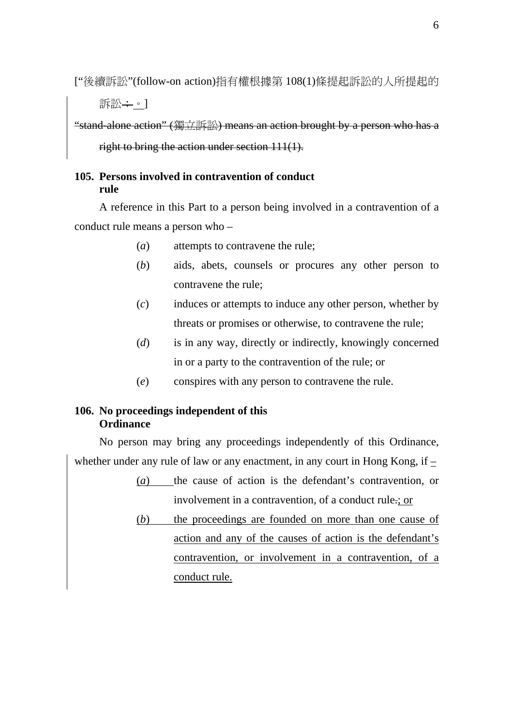["後續訴訟"(follow-on action)指有權根據第 108(1)條提起訴訟的人所提起的

訴訟÷。1

"stand-alone action" (獨立訴訟) means an action brought by a person who has a

right to bring the action under section 111(1).

## **105. Persons involved in contravention of conduct rule**

A reference in this Part to a person being involved in a contravention of a conduct rule means a person who –

- (*a*) attempts to contravene the rule;
- (*b*) aids, abets, counsels or procures any other person to contravene the rule;
- (*c*) induces or attempts to induce any other person, whether by threats or promises or otherwise, to contravene the rule;
- (*d*) is in any way, directly or indirectly, knowingly concerned in or a party to the contravention of the rule; or
- (*e*) conspires with any person to contravene the rule.

## **106. No proceedings independent of this Ordinance**

No person may bring any proceedings independently of this Ordinance, whether under any rule of law or any enactment, in any court in Hong Kong, if –

- (*a*) the cause of action is the defendant's contravention, or involvement in a contravention, of a conduct rule.; or
- (*b*) the proceedings are founded on more than one cause of action and any of the causes of action is the defendant's contravention, or involvement in a contravention, of a conduct rule.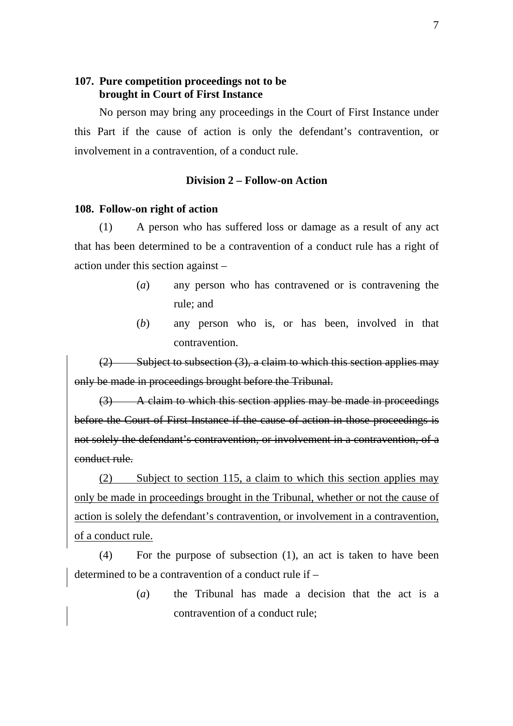#### **107. Pure competition proceedings not to be brought in Court of First Instance**

No person may bring any proceedings in the Court of First Instance under this Part if the cause of action is only the defendant's contravention, or involvement in a contravention, of a conduct rule.

#### **Division 2 – Follow-on Action**

#### **108. Follow-on right of action**

(1) A person who has suffered loss or damage as a result of any act that has been determined to be a contravention of a conduct rule has a right of action under this section against –

- (*a*) any person who has contravened or is contravening the rule; and
- (*b*) any person who is, or has been, involved in that contravention.

 $(2)$  Subject to subsection  $(3)$ , a claim to which this section applies may only be made in proceedings brought before the Tribunal.

(3) A claim to which this section applies may be made in proceedings before the Court of First Instance if the cause of action in those proceedings is not solely the defendant's contravention, or involvement in a contravention, of a conduct rule.

(2) Subject to section 115, a claim to which this section applies may only be made in proceedings brought in the Tribunal, whether or not the cause of action is solely the defendant's contravention, or involvement in a contravention, of a conduct rule.

(4) For the purpose of subsection (1), an act is taken to have been determined to be a contravention of a conduct rule if –

> (*a*) the Tribunal has made a decision that the act is a contravention of a conduct rule;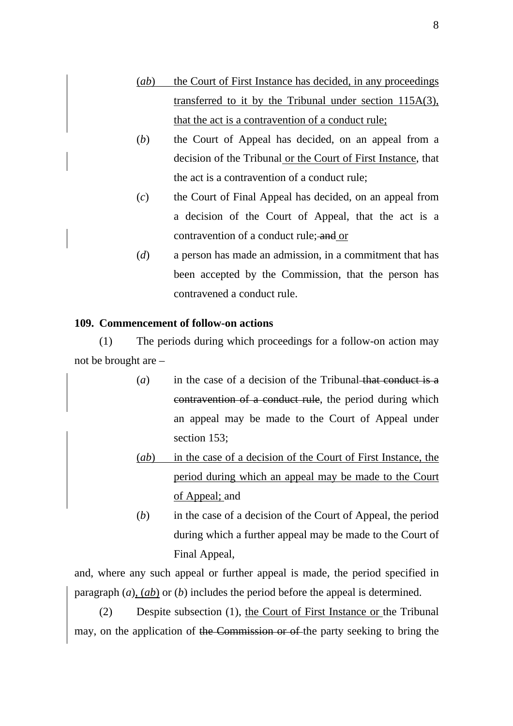- (*ab*) the Court of First Instance has decided, in any proceedings transferred to it by the Tribunal under section 115A(3), that the act is a contravention of a conduct rule;
- (*b*) the Court of Appeal has decided, on an appeal from a decision of the Tribunal or the Court of First Instance, that the act is a contravention of a conduct rule;
- (*c*) the Court of Final Appeal has decided, on an appeal from a decision of the Court of Appeal, that the act is a contravention of a conduct rule; and or
- (*d*) a person has made an admission, in a commitment that has been accepted by the Commission, that the person has contravened a conduct rule.

#### **109. Commencement of follow-on actions**

(1) The periods during which proceedings for a follow-on action may not be brought are –

- (*a*) in the case of a decision of the Tribunal that conduct is a contravention of a conduct rule, the period during which an appeal may be made to the Court of Appeal under section 153;
- (*ab*) in the case of a decision of the Court of First Instance, the period during which an appeal may be made to the Court of Appeal; and
- (*b*) in the case of a decision of the Court of Appeal, the period during which a further appeal may be made to the Court of Final Appeal,

and, where any such appeal or further appeal is made, the period specified in paragraph (*a*), (*ab*) or (*b*) includes the period before the appeal is determined.

(2) Despite subsection (1), the Court of First Instance or the Tribunal may, on the application of the Commission or of the party seeking to bring the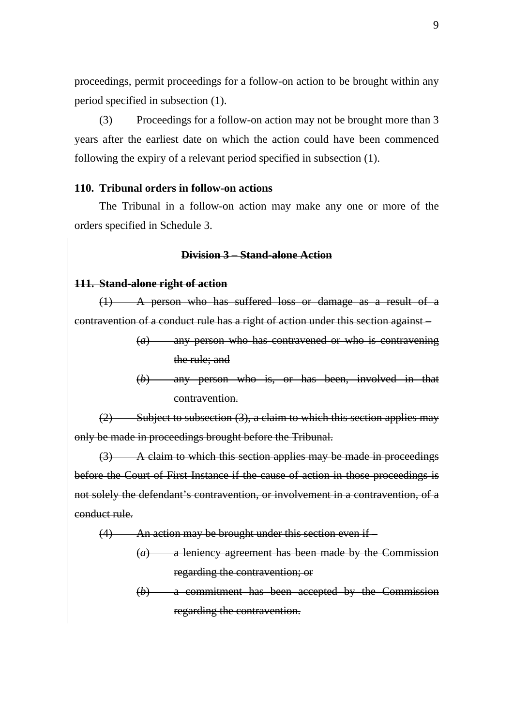proceedings, permit proceedings for a follow-on action to be brought within any period specified in subsection (1).

(3) Proceedings for a follow-on action may not be brought more than 3 years after the earliest date on which the action could have been commenced following the expiry of a relevant period specified in subsection (1).

#### **110. Tribunal orders in follow-on actions**

The Tribunal in a follow-on action may make any one or more of the orders specified in Schedule 3.

### **Division 3 – Stand-alone Action**

#### **111. Stand-alone right of action**

(1) A person who has suffered loss or damage as a result of a contravention of a conduct rule has a right of action under this section against –

> (*a*) any person who has contravened or who is contravening the rule; and

> (*b*) any person who is, or has been, involved in that contravention.

 $(2)$  Subject to subsection  $(3)$ , a claim to which this section applies may only be made in proceedings brought before the Tribunal.

(3) A claim to which this section applies may be made in proceedings before the Court of First Instance if the cause of action in those proceedings is not solely the defendant's contravention, or involvement in a contravention, of a conduct rule.

(4) An action may be brought under this section even if –

- (*a*) a leniency agreement has been made by the Commission regarding the contravention; or
- (*b*) a commitment has been accepted by the Commission regarding the contravention.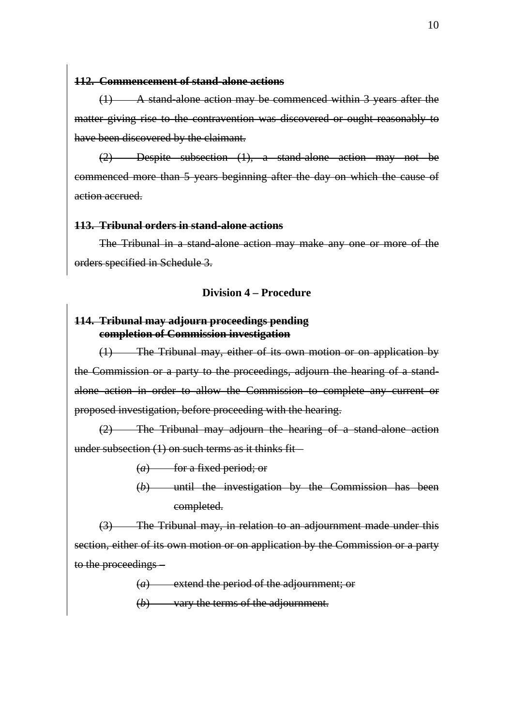#### **112. Commencement of stand-alone actions**

(1) A stand-alone action may be commenced within 3 years after the matter giving rise to the contravention was discovered or ought reasonably to have been discovered by the claimant.

(2) Despite subsection (1), a stand-alone action may not be commenced more than 5 years beginning after the day on which the cause of action accrued.

#### **113. Tribunal orders in stand-alone actions**

The Tribunal in a stand-alone action may make any one or more of the orders specified in Schedule 3.

#### **Division 4 – Procedure**

#### **114. Tribunal may adjourn proceedings pending completion of Commission investigation**

(1) The Tribunal may, either of its own motion or on application by the Commission or a party to the proceedings, adjourn the hearing of a standalone action in order to allow the Commission to complete any current or proposed investigation, before proceeding with the hearing.

(2) The Tribunal may adjourn the hearing of a stand-alone action under subsection (1) on such terms as it thinks fit –

(*a*) for a fixed period; or

(*b*) until the investigation by the Commission has been completed.

(3) The Tribunal may, in relation to an adjournment made under this section, either of its own motion or on application by the Commission or a party to the proceedings –

(*a*) extend the period of the adjournment; or

(*b*) vary the terms of the adjournment.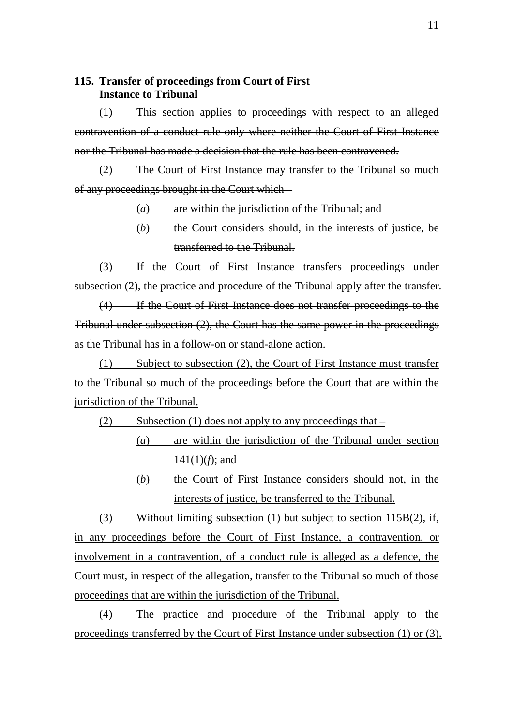### **115. Transfer of proceedings from Court of First Instance to Tribunal**

(1) This section applies to proceedings with respect to an alleged contravention of a conduct rule only where neither the Court of First Instance nor the Tribunal has made a decision that the rule has been contravened.

(2) The Court of First Instance may transfer to the Tribunal so much of any proceedings brought in the Court which –

(*a*) are within the jurisdiction of the Tribunal; and

(*b*) the Court considers should, in the interests of justice, be transferred to the Tribunal.

(3) If the Court of First Instance transfers proceedings under subsection (2), the practice and procedure of the Tribunal apply after the transfer.

(4) If the Court of First Instance does not transfer proceedings to the Tribunal under subsection (2), the Court has the same power in the proceedings as the Tribunal has in a follow-on or stand-alone action.

(1) Subject to subsection (2), the Court of First Instance must transfer to the Tribunal so much of the proceedings before the Court that are within the jurisdiction of the Tribunal.

(2) Subsection (1) does not apply to any proceedings that –

- (*a*) are within the jurisdiction of the Tribunal under section 141(1)(*f*); and
	- (*b*) the Court of First Instance considers should not, in the interests of justice, be transferred to the Tribunal.

(3) Without limiting subsection (1) but subject to section 115B(2), if, in any proceedings before the Court of First Instance, a contravention, or involvement in a contravention, of a conduct rule is alleged as a defence, the Court must, in respect of the allegation, transfer to the Tribunal so much of those proceedings that are within the jurisdiction of the Tribunal.

(4) The practice and procedure of the Tribunal apply to the proceedings transferred by the Court of First Instance under subsection (1) or (3).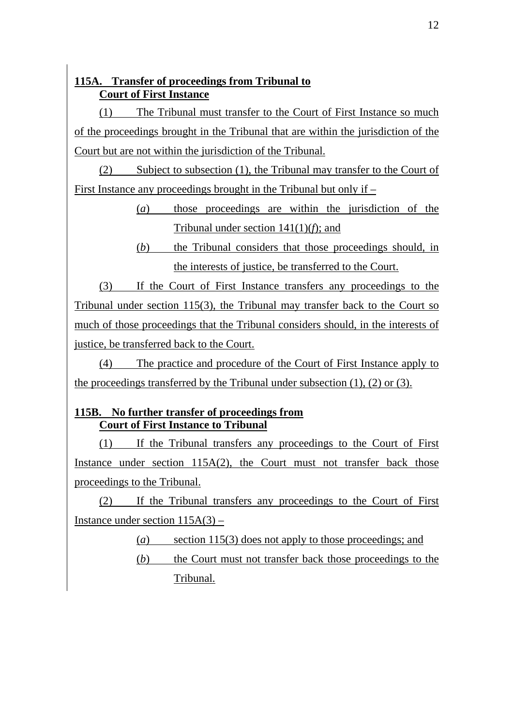## **115A. Transfer of proceedings from Tribunal to Court of First Instance**

(1) The Tribunal must transfer to the Court of First Instance so much of the proceedings brought in the Tribunal that are within the jurisdiction of the Court but are not within the jurisdiction of the Tribunal.

(2) Subject to subsection (1), the Tribunal may transfer to the Court of First Instance any proceedings brought in the Tribunal but only if –

> (*a*) those proceedings are within the jurisdiction of the Tribunal under section 141(1)(*f*); and

> (*b*) the Tribunal considers that those proceedings should, in the interests of justice, be transferred to the Court.

(3) If the Court of First Instance transfers any proceedings to the Tribunal under section 115(3), the Tribunal may transfer back to the Court so much of those proceedings that the Tribunal considers should, in the interests of justice, be transferred back to the Court.

(4) The practice and procedure of the Court of First Instance apply to the proceedings transferred by the Tribunal under subsection  $(1)$ ,  $(2)$  or  $(3)$ .

### **115B. No further transfer of proceedings from Court of First Instance to Tribunal**

(1) If the Tribunal transfers any proceedings to the Court of First Instance under section 115A(2), the Court must not transfer back those proceedings to the Tribunal.

(2) If the Tribunal transfers any proceedings to the Court of First Instance under section  $115A(3)$  –

- (*a*) section 115(3) does not apply to those proceedings; and
- (*b*) the Court must not transfer back those proceedings to the Tribunal.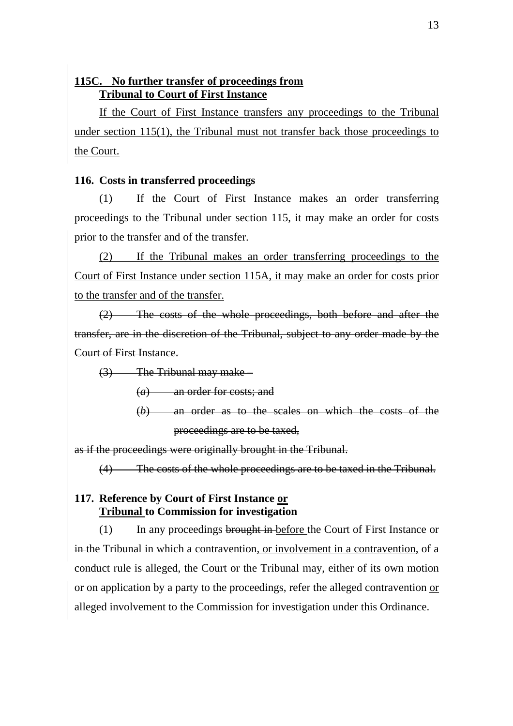## **115C. No further transfer of proceedings from Tribunal to Court of First Instance**

If the Court of First Instance transfers any proceedings to the Tribunal under section 115(1), the Tribunal must not transfer back those proceedings to the Court.

### **116. Costs in transferred proceedings**

(1) If the Court of First Instance makes an order transferring proceedings to the Tribunal under section 115, it may make an order for costs prior to the transfer and of the transfer.

(2) If the Tribunal makes an order transferring proceedings to the Court of First Instance under section 115A, it may make an order for costs prior to the transfer and of the transfer.

(2) The costs of the whole proceedings, both before and after the transfer, are in the discretion of the Tribunal, subject to any order made by the Court of First Instance.

(3) The Tribunal may make –

(*a*) an order for costs; and

(*b*) an order as to the scales on which the costs of the proceedings are to be taxed,

as if the proceedings were originally brought in the Tribunal.

(4) The costs of the whole proceedings are to be taxed in the Tribunal.

## **117. Reference by Court of First Instance or Tribunal to Commission for investigation**

(1) In any proceedings brought in before the Court of First Instance or in the Tribunal in which a contravention, or involvement in a contravention, of a conduct rule is alleged, the Court or the Tribunal may, either of its own motion or on application by a party to the proceedings, refer the alleged contravention or alleged involvement to the Commission for investigation under this Ordinance.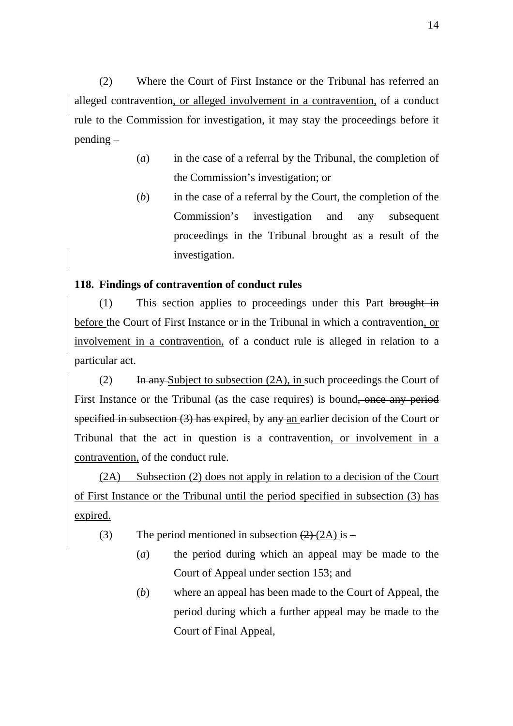(2) Where the Court of First Instance or the Tribunal has referred an alleged contravention, or alleged involvement in a contravention, of a conduct rule to the Commission for investigation, it may stay the proceedings before it pending –

- (*a*) in the case of a referral by the Tribunal, the completion of the Commission's investigation; or
- (*b*) in the case of a referral by the Court, the completion of the Commission's investigation and any subsequent proceedings in the Tribunal brought as a result of the investigation.

### **118. Findings of contravention of conduct rules**

(1) This section applies to proceedings under this Part brought in before the Court of First Instance or in the Tribunal in which a contravention, or involvement in a contravention, of a conduct rule is alleged in relation to a particular act.

 $(2)$  In any Subject to subsection  $(2A)$ , in such proceedings the Court of First Instance or the Tribunal (as the case requires) is bound, once any period specified in subsection (3) has expired, by any an earlier decision of the Court or Tribunal that the act in question is a contravention, or involvement in a contravention, of the conduct rule.

(2A) Subsection (2) does not apply in relation to a decision of the Court of First Instance or the Tribunal until the period specified in subsection (3) has expired.

- (3) The period mentioned in subsection  $(2)$  (2A) is
	- (*a*) the period during which an appeal may be made to the Court of Appeal under section 153; and
	- (*b*) where an appeal has been made to the Court of Appeal, the period during which a further appeal may be made to the Court of Final Appeal,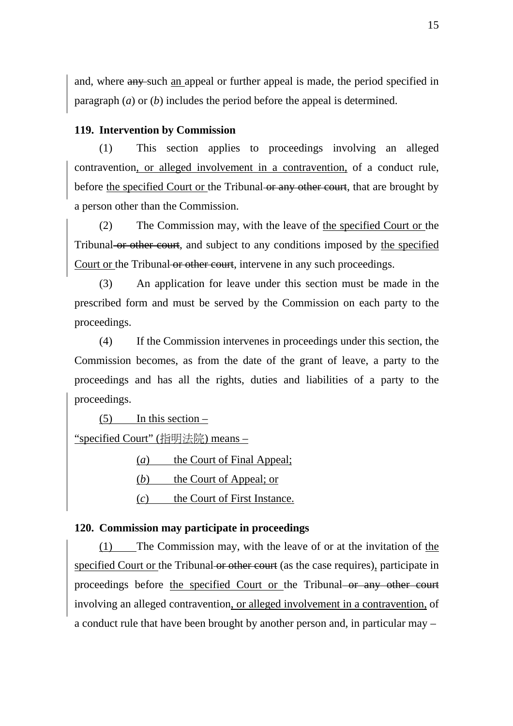and, where any such an appeal or further appeal is made, the period specified in paragraph (*a*) or (*b*) includes the period before the appeal is determined.

#### **119. Intervention by Commission**

(1) This section applies to proceedings involving an alleged contravention, or alleged involvement in a contravention, of a conduct rule, before the specified Court or the Tribunal or any other court, that are brought by a person other than the Commission.

(2) The Commission may, with the leave of the specified Court or the Tribunal or other court, and subject to any conditions imposed by the specified Court or the Tribunal or other court, intervene in any such proceedings.

(3) An application for leave under this section must be made in the prescribed form and must be served by the Commission on each party to the proceedings.

(4) If the Commission intervenes in proceedings under this section, the Commission becomes, as from the date of the grant of leave, a party to the proceedings and has all the rights, duties and liabilities of a party to the proceedings.

 $(5)$  In this section –

"specified Court" (指明法院) means –

(*a*) the Court of Final Appeal;

- (*b*) the Court of Appeal; or
- (*c*) the Court of First Instance.

#### **120. Commission may participate in proceedings**

(1) The Commission may, with the leave of or at the invitation of the specified Court or the Tribunal or other court (as the case requires), participate in proceedings before the specified Court or the Tribunal or any other court involving an alleged contravention, or alleged involvement in a contravention, of a conduct rule that have been brought by another person and, in particular may –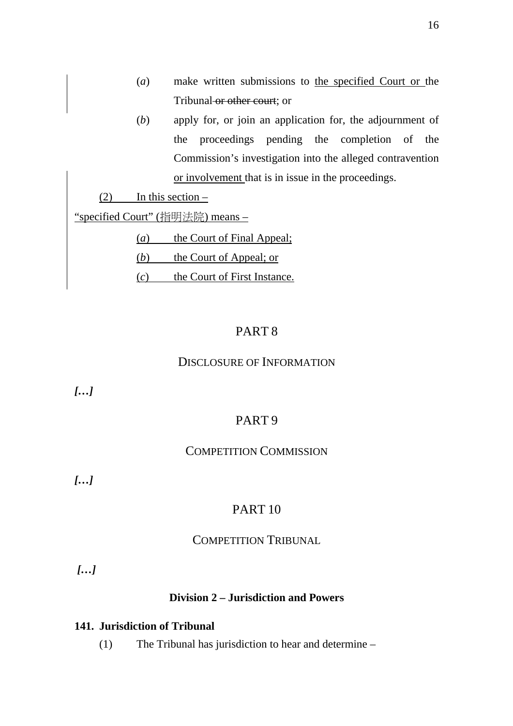- (*a*) make written submissions to the specified Court or the Tribunal or other court; or
- (*b*) apply for, or join an application for, the adjournment of the proceedings pending the completion of the Commission's investigation into the alleged contravention or involvement that is in issue in the proceedings.

 $(2)$  In this section –

"specified Court" (指明法院) means –

(*a*) the Court of Final Appeal;

(*b*) the Court of Appeal; or

(*c*) the Court of First Instance.

### PART 8

#### DISCLOSURE OF INFORMATION

*[…]* 

## PART 9

### COMPETITION COMMISSION

*[…]* 

## PART 10

#### COMPETITION TRIBUNAL

 *[…]* 

#### **Division 2 – Jurisdiction and Powers**

### **141. Jurisdiction of Tribunal**

(1) The Tribunal has jurisdiction to hear and determine –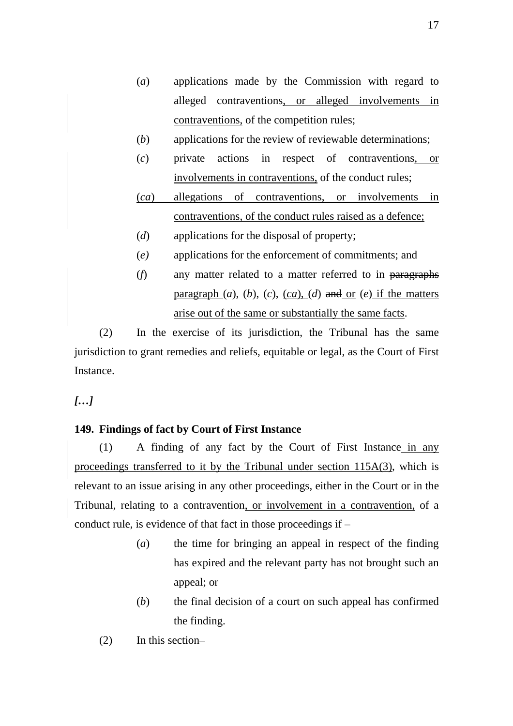- (*a*) applications made by the Commission with regard to alleged contraventions, or alleged involvements in contraventions, of the competition rules;
- (*b*) applications for the review of reviewable determinations;
- (*c*) private actions in respect of contraventions, or involvements in contraventions, of the conduct rules;
- (*ca*) allegations of contraventions, or involvements in contraventions, of the conduct rules raised as a defence;
- (*d*) applications for the disposal of property;
- (*e)* applications for the enforcement of commitments; and
- (*f*) any matter related to a matter referred to in paragraphs paragraph  $(a)$ ,  $(b)$ ,  $(c)$ ,  $(ca)$ ,  $(d)$  and or  $(e)$  if the matters arise out of the same or substantially the same facts.

(2) In the exercise of its jurisdiction, the Tribunal has the same jurisdiction to grant remedies and reliefs, equitable or legal, as the Court of First Instance.

*[…]* 

### **149. Findings of fact by Court of First Instance**

(1) A finding of any fact by the Court of First Instance in any proceedings transferred to it by the Tribunal under section 115A(3), which is relevant to an issue arising in any other proceedings, either in the Court or in the Tribunal, relating to a contravention, or involvement in a contravention, of a conduct rule, is evidence of that fact in those proceedings if –

- (*a*) the time for bringing an appeal in respect of the finding has expired and the relevant party has not brought such an appeal; or
- (*b*) the final decision of a court on such appeal has confirmed the finding.
- (2) In this section–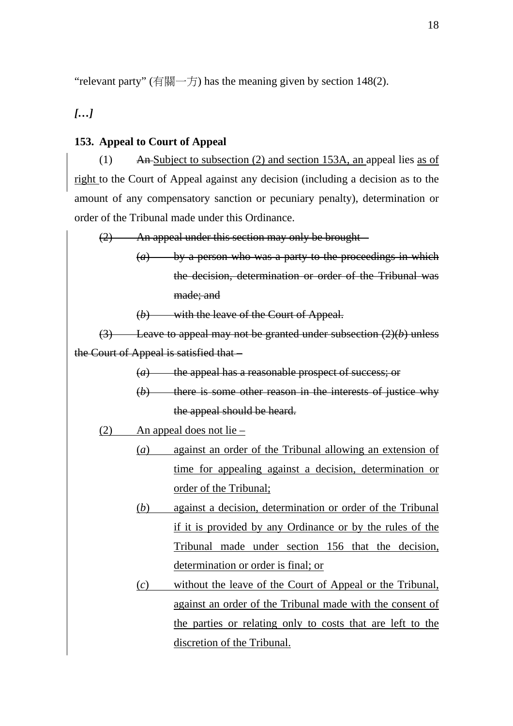"relevant party" (有關一方) has the meaning given by section 148(2).

### *[…]*

### **153. Appeal to Court of Appeal**

(1) An Subject to subsection (2) and section 153A, an appeal lies as of right to the Court of Appeal against any decision (including a decision as to the amount of any compensatory sanction or pecuniary penalty), determination or order of the Tribunal made under this Ordinance.

(2) An appeal under this section may only be brought – (*a*) by a person who was a party to the proceedings in which the decision, determination or order of the Tribunal was made; and (*b*) with the leave of the Court of Appeal. (3) Leave to appeal may not be granted under subsection (2)(*b*) unless the Court of Appeal is satisfied that – (*a*) the appeal has a reasonable prospect of success; or (*b*) there is some other reason in the interests of justice why the appeal should be heard. (2) An appeal does not lie – (*a*) against an order of the Tribunal allowing an extension of time for appealing against a decision, determination or order of the Tribunal; (*b*) against a decision, determination or order of the Tribunal if it is provided by any Ordinance or by the rules of the Tribunal made under section 156 that the decision, determination or order is final; or (*c*) without the leave of the Court of Appeal or the Tribunal, against an order of the Tribunal made with the consent of

discretion of the Tribunal.

the parties or relating only to costs that are left to the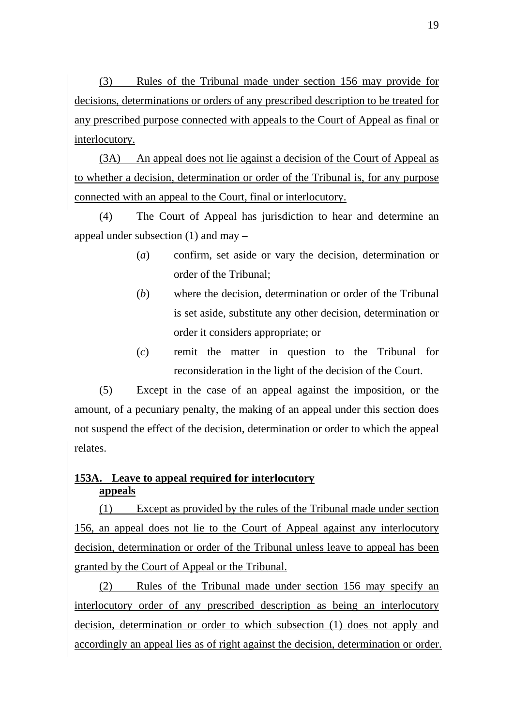(3) Rules of the Tribunal made under section 156 may provide for decisions, determinations or orders of any prescribed description to be treated for any prescribed purpose connected with appeals to the Court of Appeal as final or interlocutory.

(3A) An appeal does not lie against a decision of the Court of Appeal as to whether a decision, determination or order of the Tribunal is, for any purpose connected with an appeal to the Court, final or interlocutory.

(4) The Court of Appeal has jurisdiction to hear and determine an appeal under subsection (1) and may –

- (*a*) confirm, set aside or vary the decision, determination or order of the Tribunal;
- (*b*) where the decision, determination or order of the Tribunal is set aside, substitute any other decision, determination or order it considers appropriate; or
- (*c*) remit the matter in question to the Tribunal for reconsideration in the light of the decision of the Court.

(5) Except in the case of an appeal against the imposition, or the amount, of a pecuniary penalty, the making of an appeal under this section does not suspend the effect of the decision, determination or order to which the appeal relates.

## **153A. Leave to appeal required for interlocutory appeals**

(1) Except as provided by the rules of the Tribunal made under section 156, an appeal does not lie to the Court of Appeal against any interlocutory decision, determination or order of the Tribunal unless leave to appeal has been granted by the Court of Appeal or the Tribunal.

(2) Rules of the Tribunal made under section 156 may specify an interlocutory order of any prescribed description as being an interlocutory decision, determination or order to which subsection (1) does not apply and accordingly an appeal lies as of right against the decision, determination or order.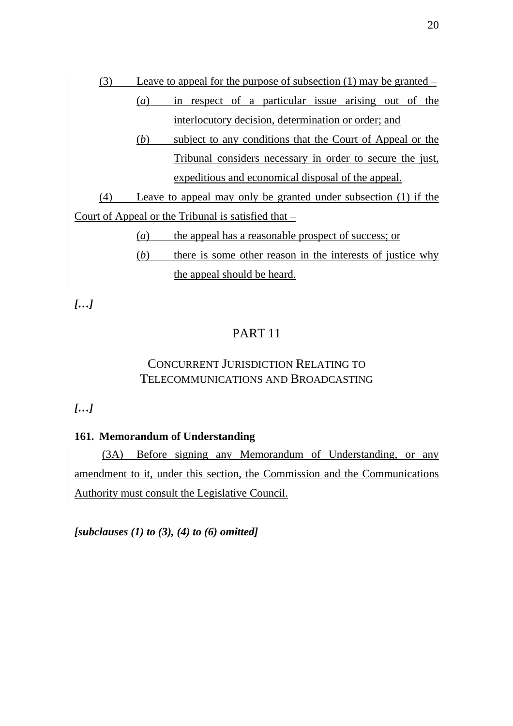

*[…]* 

## PART 11

## CONCURRENT JURISDICTION RELATING TO TELECOMMUNICATIONS AND BROADCASTING

*[…]* 

### **161. Memorandum of Understanding**

 (3A) Before signing any Memorandum of Understanding, or any amendment to it, under this section, the Commission and the Communications Authority must consult the Legislative Council.

*[subclauses (1) to (3), (4) to (6) omitted]*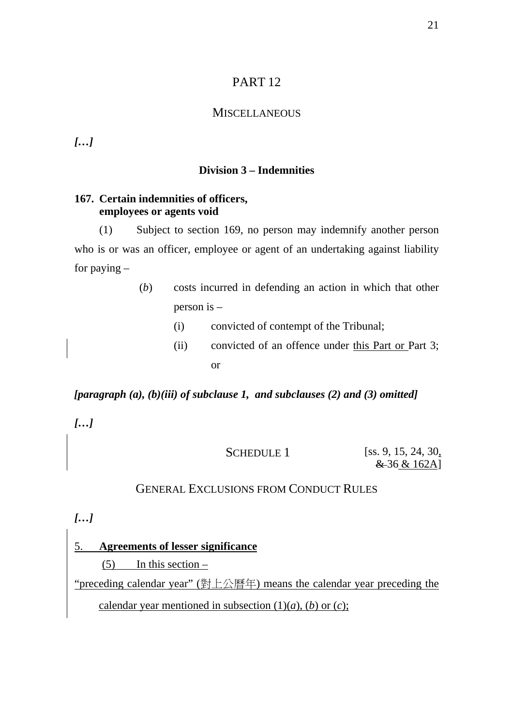## PART 12

### **MISCELLANEOUS**

*[…]* 

#### **Division 3 – Indemnities**

### **167. Certain indemnities of officers, employees or agents void**

(1) Subject to section 169, no person may indemnify another person who is or was an officer, employee or agent of an undertaking against liability for paying –

> (*b*) costs incurred in defending an action in which that other person is –

- (i) convicted of contempt of the Tribunal;
- (ii) convicted of an offence under this Part or Part 3; or

### *[paragraph (a), (b)(iii) of subclause 1, and subclauses (2) and (3) omitted]*

*[…]* 

SCHEDULE 1 [ss. 9, 15, 24, 30, & 36 & 162A]

### GENERAL EXCLUSIONS FROM CONDUCT RULES

*[…]* 

5. **Agreements of lesser significance**

 $(5)$  In this section –

"preceding calendar year" (對上公曆年) means the calendar year preceding the calendar year mentioned in subsection  $(1)(a)$ ,  $(b)$  or  $(c)$ ;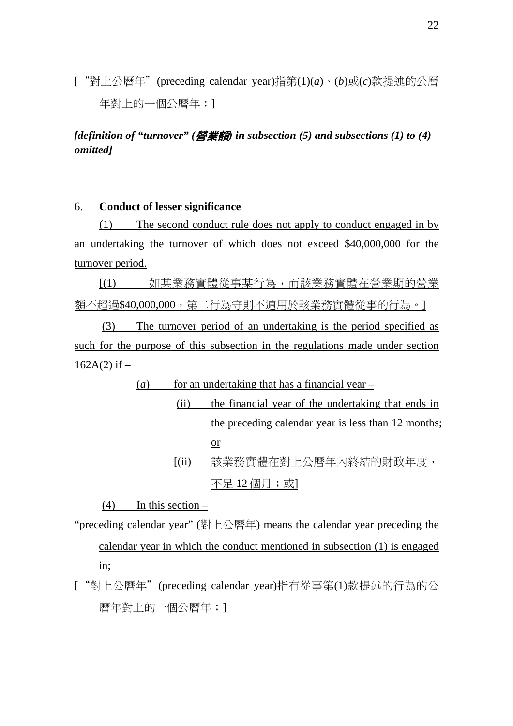["對上公曆年"(preceding calendar year)指第(1)(*a*)、(*b*)或(*c*)款提述的公曆

年對上的一個公曆年;]

*[definition of "turnover" (*營業額*) in subsection (5) and subsections (1) to (4) omitted]* 

# 6. **Conduct of lesser significance**

(1) The second conduct rule does not apply to conduct engaged in by an undertaking the turnover of which does not exceed \$40,000,000 for the turnover period.

[(1) 如某業務實體從事某行為,而該業務實體在營業期的營業 額不超過\$40,000,000,第二行為守則不適用於該業務實體從事的行為。]

 (3) The turnover period of an undertaking is the period specified as such for the purpose of this subsection in the regulations made under section  $162A(2)$  if  $-$ 

 $(a)$  for an undertaking that has a financial year –

 (ii) the financial year of the undertaking that ends in the preceding calendar year is less than 12 months; or [(ii) 該業務實體在對上公曆年內終結的財政年度,

不足 12 個月;或1

 $(4)$  In this section –

"preceding calendar year" (對上公曆年) means the calendar year preceding the calendar year in which the conduct mentioned in subsection (1) is engaged in;

["對上公曆年"(preceding calendar year)指有從事第(1)款提述的行為的公 曆年對上的一個公曆年;1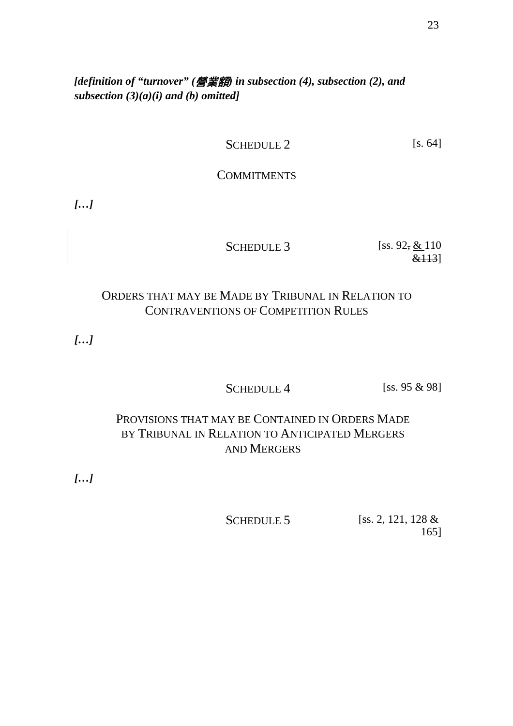*[definition of "turnover" (*營業額*) in subsection (4), subsection (2), and subsection (3)(a)(i) and (b) omitted]* 

## SCHEDULE 2 [s. 64]

### **COMMITMENTS**

*[…]* 

SCHEDULE 3 [ss.  $92, \underline{\&}110$ &113]

## ORDERS THAT MAY BE MADE BY TRIBUNAL IN RELATION TO CONTRAVENTIONS OF COMPETITION RULES

*[…]* 

SCHEDULE  $4$  [ss. 95  $\&$  98]

# PROVISIONS THAT MAY BE CONTAINED IN ORDERS MADE BY TRIBUNAL IN RELATION TO ANTICIPATED MERGERS AND MERGERS

*[…]* 

SCHEDULE 5 [ss. 2, 121, 128 & 165]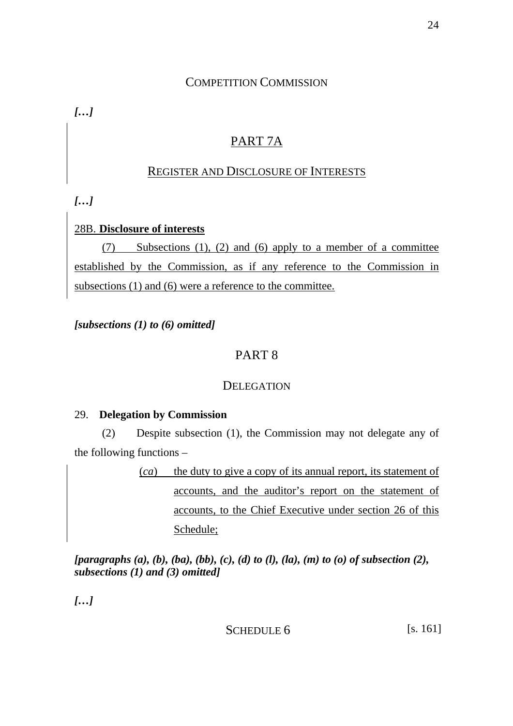## COMPETITION COMMISSION

*[…]* 

# PART 7A

## REGISTER AND DISCLOSURE OF INTERESTS

*[…]* 

### 28B. **Disclosure of interests**

(7) Subsections (1), (2) and (6) apply to a member of a committee established by the Commission, as if any reference to the Commission in subsections (1) and (6) were a reference to the committee.

*[subsections (1) to (6) omitted]* 

## PART 8

## DELEGATION

### 29. **Delegation by Commission**

 (2) Despite subsection (1), the Commission may not delegate any of the following functions –

> (*ca*) the duty to give a copy of its annual report, its statement of accounts, and the auditor's report on the statement of accounts, to the Chief Executive under section 26 of this Schedule;

*[paragraphs (a), (b), (ba), (bb), (c), (d) to (l), (la), (m) to (o) of subsection (2), subsections (1) and (3) omitted]* 

*[…]* 

SCHEDULE 6 [s. 161]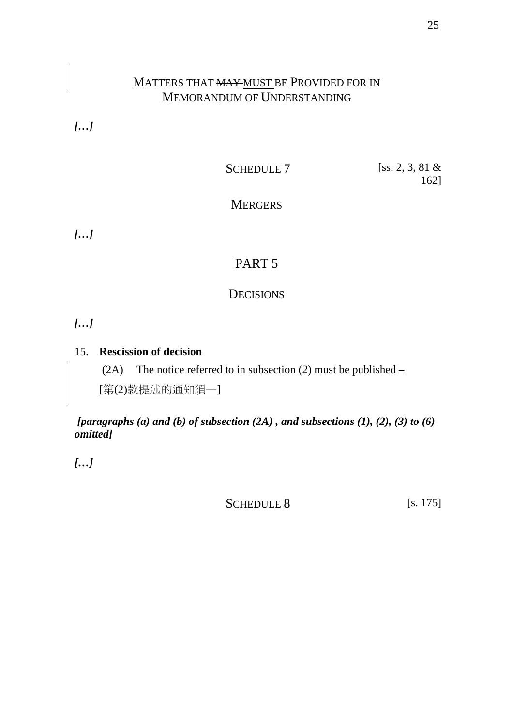# MATTERS THAT MAY MUST BE PROVIDED FOR IN MEMORANDUM OF UNDERSTANDING

*[…]* 

SCHEDULE 7 [SS. 2, 3, 81 & 162]

**MERGERS** 

*[…]* 

# PART 5

## **DECISIONS**

*[…]* 

## 15. **Rescission of decision**

(2A) The notice referred to in subsection (2) must be published –

[第(2)款提述的通知須—]

 *[paragraphs (a) and (b) of subsection (2A) , and subsections (1), (2), (3) to (6) omitted]* 

*[…]* 

SCHEDULE 8 [s. 175]